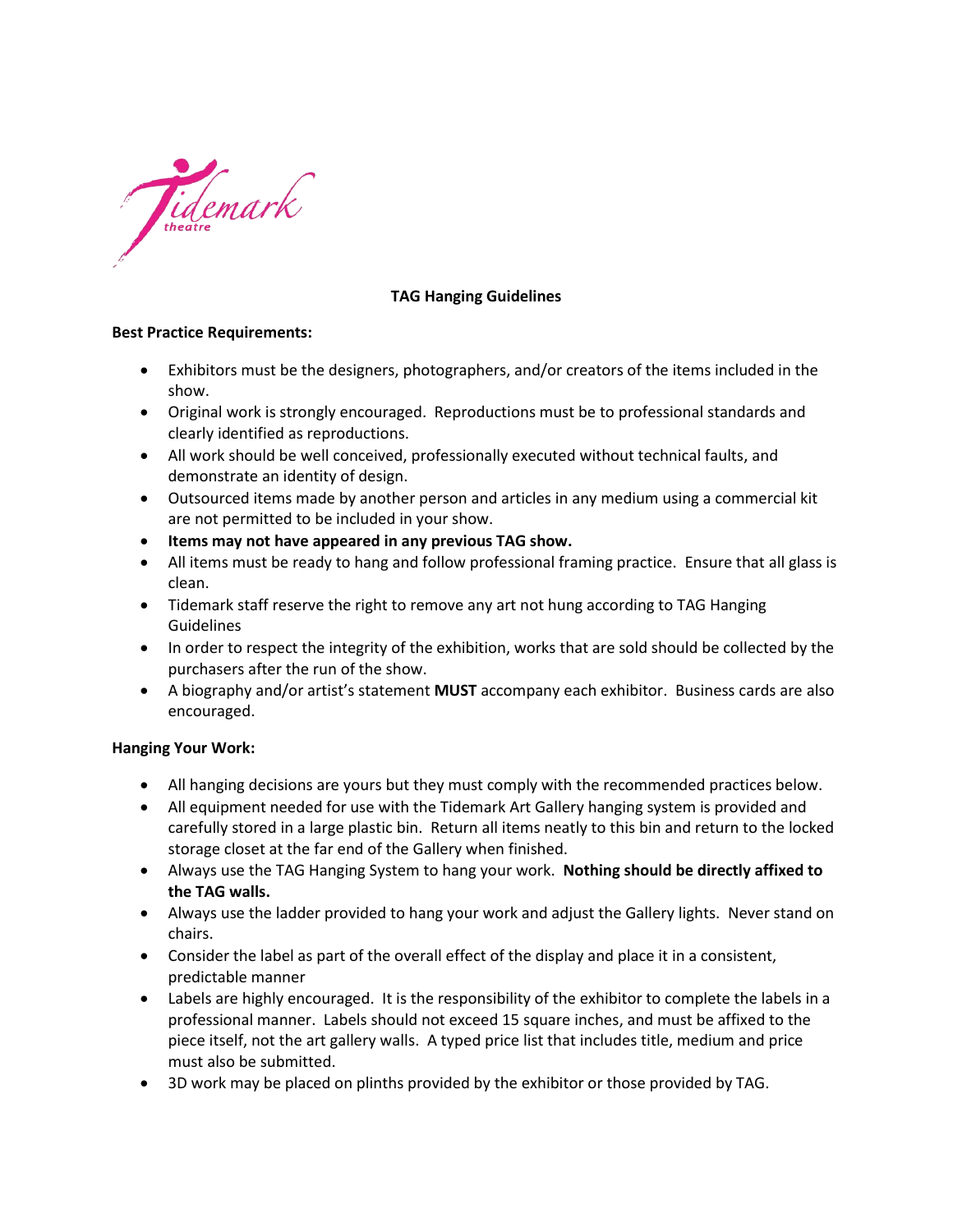

### **TAG Hanging Guidelines**

#### **Best Practice Requirements:**

- Exhibitors must be the designers, photographers, and/or creators of the items included in the show.
- Original work is strongly encouraged. Reproductions must be to professional standards and clearly identified as reproductions.
- All work should be well conceived, professionally executed without technical faults, and demonstrate an identity of design.
- Outsourced items made by another person and articles in any medium using a commercial kit are not permitted to be included in your show.
- **Items may not have appeared in any previous TAG show.**
- All items must be ready to hang and follow professional framing practice. Ensure that all glass is clean.
- Tidemark staff reserve the right to remove any art not hung according to TAG Hanging Guidelines
- In order to respect the integrity of the exhibition, works that are sold should be collected by the purchasers after the run of the show.
- A biography and/or artist's statement **MUST** accompany each exhibitor. Business cards are also encouraged.

#### **Hanging Your Work:**

- All hanging decisions are yours but they must comply with the recommended practices below.
- All equipment needed for use with the Tidemark Art Gallery hanging system is provided and carefully stored in a large plastic bin. Return all items neatly to this bin and return to the locked storage closet at the far end of the Gallery when finished.
- Always use the TAG Hanging System to hang your work. **Nothing should be directly affixed to the TAG walls.**
- Always use the ladder provided to hang your work and adjust the Gallery lights. Never stand on chairs.
- Consider the label as part of the overall effect of the display and place it in a consistent, predictable manner
- Labels are highly encouraged. It is the responsibility of the exhibitor to complete the labels in a professional manner. Labels should not exceed 15 square inches, and must be affixed to the piece itself, not the art gallery walls. A typed price list that includes title, medium and price must also be submitted.
- 3D work may be placed on plinths provided by the exhibitor or those provided by TAG.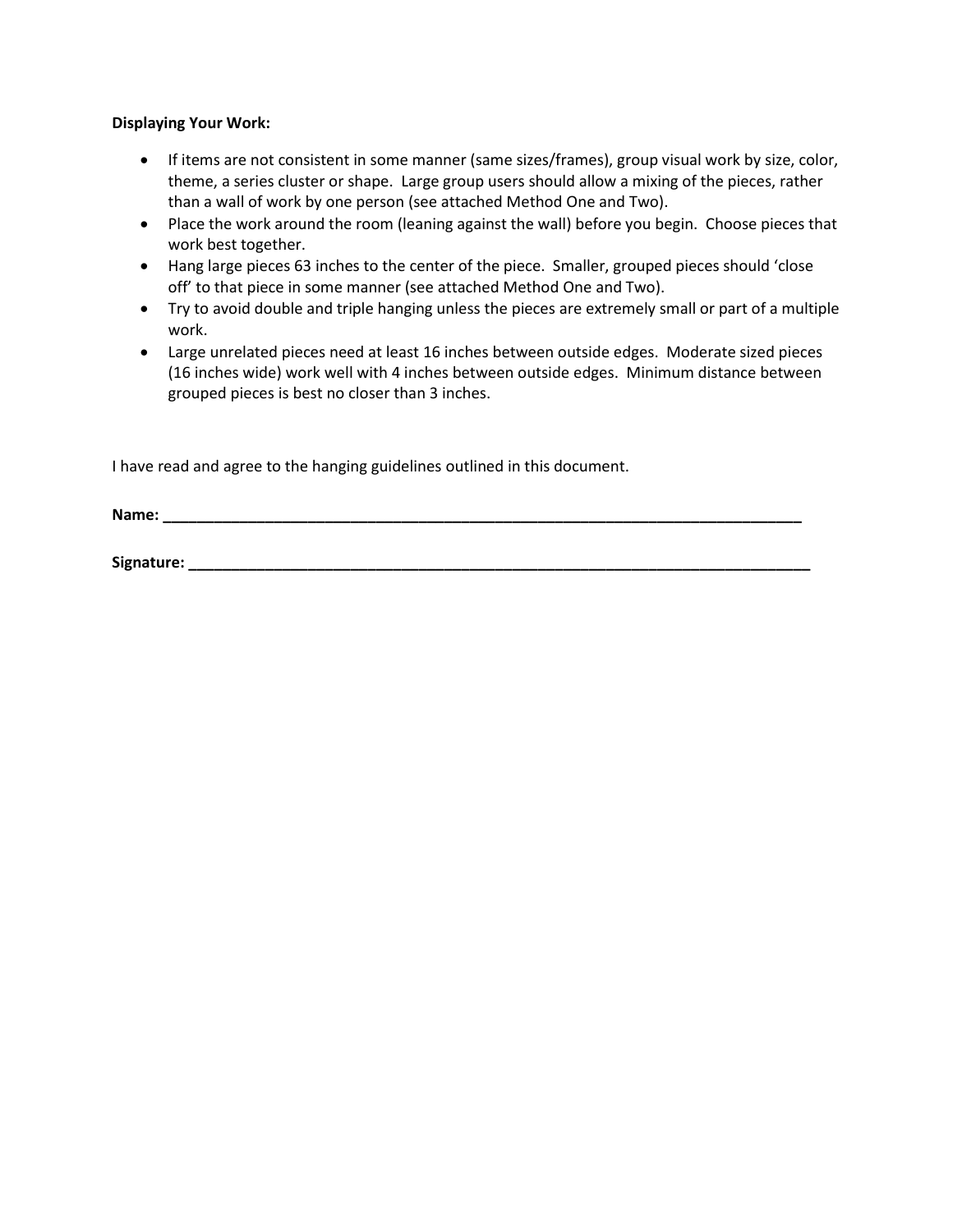#### **Displaying Your Work:**

- If items are not consistent in some manner (same sizes/frames), group visual work by size, color, theme, a series cluster or shape. Large group users should allow a mixing of the pieces, rather than a wall of work by one person (see attached Method One and Two).
- Place the work around the room (leaning against the wall) before you begin. Choose pieces that work best together.
- Hang large pieces 63 inches to the center of the piece. Smaller, grouped pieces should 'close off' to that piece in some manner (see attached Method One and Two).
- Try to avoid double and triple hanging unless the pieces are extremely small or part of a multiple work.
- Large unrelated pieces need at least 16 inches between outside edges. Moderate sized pieces (16 inches wide) work well with 4 inches between outside edges. Minimum distance between grouped pieces is best no closer than 3 inches.

I have read and agree to the hanging guidelines outlined in this document.

**Name: \_\_\_\_\_\_\_\_\_\_\_\_\_\_\_\_\_\_\_\_\_\_\_\_\_\_\_\_\_\_\_\_\_\_\_\_\_\_\_\_\_\_\_\_\_\_\_\_\_\_\_\_\_\_\_\_\_\_\_\_\_\_\_\_\_\_\_\_\_\_\_\_\_\_\_**

**Signature: \_\_\_\_\_\_\_\_\_\_\_\_\_\_\_\_\_\_\_\_\_\_\_\_\_\_\_\_\_\_\_\_\_\_\_\_\_\_\_\_\_\_\_\_\_\_\_\_\_\_\_\_\_\_\_\_\_\_\_\_\_\_\_\_\_\_\_\_\_\_\_\_\_**